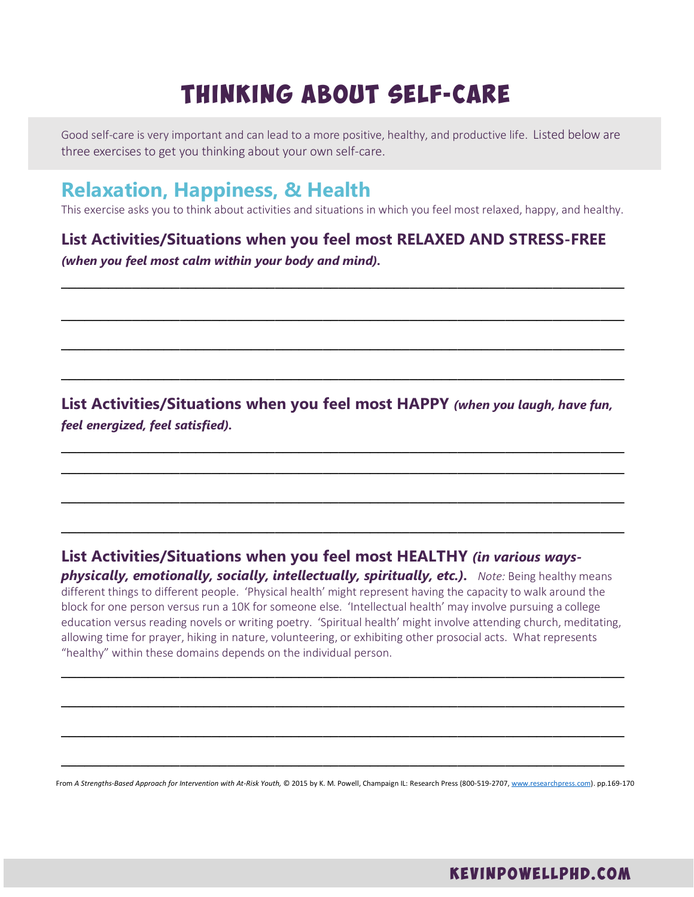# THINKING ABOUT SELF-CARE

Good self-care is very important and can lead to a more positive, healthy, and productive life. Listed below are three exercises to get you thinking about your own self-care.

## **Relaxation, Happiness, & Health**

This exercise asks you to think about activities and situations in which you feel most relaxed, happy, and healthy.

**\_\_\_\_\_\_\_\_\_\_\_\_\_\_\_\_\_\_\_\_\_\_\_\_\_\_\_\_\_\_\_\_\_\_\_\_\_\_\_\_\_\_\_\_\_\_\_\_\_\_\_\_\_\_\_\_\_\_\_\_\_\_\_\_\_\_\_\_\_\_\_**

**\_\_\_\_\_\_\_\_\_\_\_\_\_\_\_\_\_\_\_\_\_\_\_\_\_\_\_\_\_\_\_\_\_\_\_\_\_\_\_\_\_\_\_\_\_\_\_\_\_\_\_\_\_\_\_\_\_\_\_\_\_\_\_\_\_\_\_\_\_\_\_**

**\_\_\_\_\_\_\_\_\_\_\_\_\_\_\_\_\_\_\_\_\_\_\_\_\_\_\_\_\_\_\_\_\_\_\_\_\_\_\_\_\_\_\_\_\_\_\_\_\_\_\_\_\_\_\_\_\_\_\_\_\_\_\_\_\_\_\_\_\_\_\_**

#### **List Activities/Situations when you feel most RELAXED AND STRESS-FREE** *(when you feel most calm within your body and mind).*

**List Activities/Situations when you feel most HAPPY** *(when you laugh, have fun, feel energized, feel satisfied).*

**\_\_\_\_\_\_\_\_\_\_\_\_\_\_\_\_\_\_\_\_\_\_\_\_\_\_\_\_\_\_\_\_\_\_\_\_\_\_\_\_\_\_\_\_\_\_\_\_\_\_\_\_\_\_\_\_\_\_\_\_\_\_\_\_\_\_\_\_\_\_\_**

**\_\_\_\_\_\_\_\_\_\_\_\_\_\_\_\_\_\_\_\_\_\_\_\_\_\_\_\_\_\_\_\_\_\_\_\_\_\_\_\_\_\_\_\_\_\_\_\_\_\_\_\_\_\_\_\_\_\_\_\_\_\_\_\_\_\_\_\_\_\_\_**

**\_\_\_\_\_\_\_\_\_\_\_\_\_\_\_\_\_\_\_\_\_\_\_\_\_\_\_\_\_\_\_\_\_\_\_\_\_\_\_\_\_\_\_\_\_\_\_\_\_\_\_\_\_\_\_\_\_\_\_\_\_\_\_\_\_\_\_\_\_\_\_**

**List Activities/Situations when you feel most HEALTHY** *(in various waysphysically, emotionally, socially, intellectually, spiritually, etc.).* **Note: Being healthy means** different things to different people. 'Physical health' might represent having the capacity to walk around the block for one person versus run a 10K for someone else. 'Intellectual health' may involve pursuing a college education versus reading novels or writing poetry. 'Spiritual health' might involve attending church, meditating,

allowing time for prayer, hiking in nature, volunteering, or exhibiting other prosocial acts. What represents "healthy" within these domains depends on the individual person.

**\_\_\_\_\_\_\_\_\_\_\_\_\_\_\_\_\_\_\_\_\_\_\_\_\_\_\_\_\_\_\_\_\_\_\_\_\_\_\_\_\_\_\_\_\_\_\_\_\_\_\_\_\_\_\_\_\_\_\_\_\_\_\_\_\_\_\_\_\_\_\_**

**\_\_\_\_\_\_\_\_\_\_\_\_\_\_\_\_\_\_\_\_\_\_\_\_\_\_\_\_\_\_\_\_\_\_\_\_\_\_\_\_\_\_\_\_\_\_\_\_\_\_\_\_\_\_\_\_\_\_\_\_\_\_\_\_\_\_\_\_\_\_\_**

**\_\_\_\_\_\_\_\_\_\_\_\_\_\_\_\_\_\_\_\_\_\_\_\_\_\_\_\_\_\_\_\_\_\_\_\_\_\_\_\_\_\_\_\_\_\_\_\_\_\_\_\_\_\_\_\_\_\_\_\_\_\_\_\_\_\_\_\_\_\_\_**

From A Strengths-Based Approach for Intervention with At-Risk Youth, © 2015 by K. M. Powell, Champaign IL: Research Press (800-519-2707, [www.researchpress.com\)](http://www.researchpress.com/). pp.169-170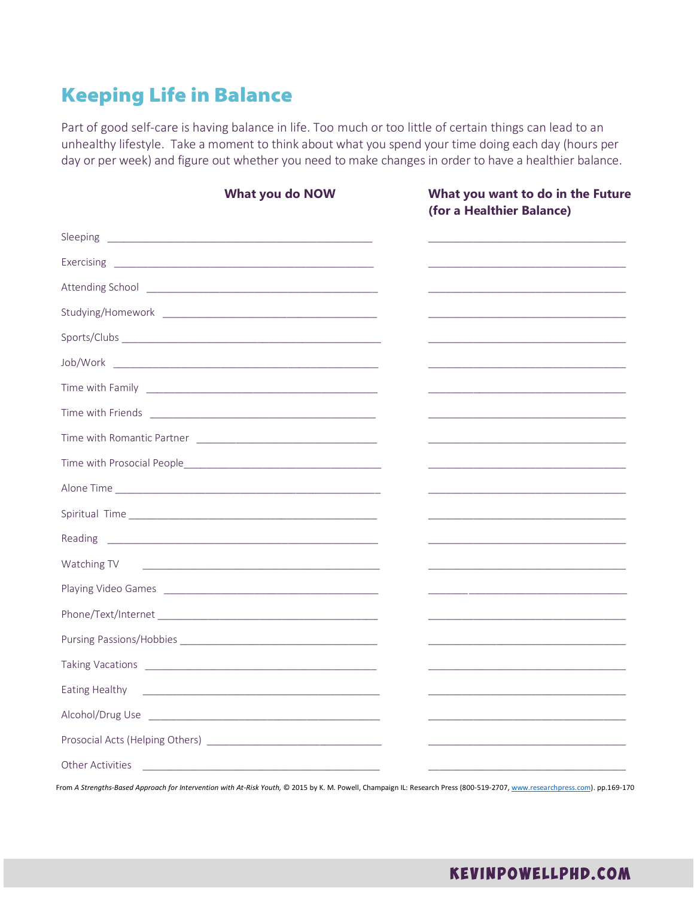## Keeping Life in Balance

Part of good self-care is having balance in life. Too much or too little of certain things can lead to an unhealthy lifestyle. Take a moment to think about what you spend your time doing each day (hours per day or per week) and figure out whether you need to make changes in order to have a healthier balance.

| What you do NOW                                                                                                                          | What you want to do in the Future<br>(for a Healthier Balance)                                                                                                                                                                |
|------------------------------------------------------------------------------------------------------------------------------------------|-------------------------------------------------------------------------------------------------------------------------------------------------------------------------------------------------------------------------------|
|                                                                                                                                          | the control of the control of the control of the control of the control of the control of                                                                                                                                     |
|                                                                                                                                          |                                                                                                                                                                                                                               |
|                                                                                                                                          |                                                                                                                                                                                                                               |
|                                                                                                                                          | the control of the control of the control of the control of the control of the control of the control of the control of the control of the control of the control of the control of the control of the control of the control |
|                                                                                                                                          |                                                                                                                                                                                                                               |
|                                                                                                                                          | <u> 1989 - Johann John Stone, markin film yn y brening yn y brening yn y brening yn y brening y brening yn y bre</u>                                                                                                          |
|                                                                                                                                          |                                                                                                                                                                                                                               |
|                                                                                                                                          |                                                                                                                                                                                                                               |
|                                                                                                                                          |                                                                                                                                                                                                                               |
|                                                                                                                                          |                                                                                                                                                                                                                               |
|                                                                                                                                          |                                                                                                                                                                                                                               |
|                                                                                                                                          | the control of the control of the control of the control of the control of the control of                                                                                                                                     |
|                                                                                                                                          |                                                                                                                                                                                                                               |
| Watching TV<br><u> 1989 - Andrea Andrew Maria (h. 1989).</u>                                                                             |                                                                                                                                                                                                                               |
|                                                                                                                                          |                                                                                                                                                                                                                               |
|                                                                                                                                          | <u> 1980 - Johann John Stone, markin film yn y brening yn y brening yn y brening yn y brening yn y brening y breni</u>                                                                                                        |
|                                                                                                                                          | the control of the control of the control of the control of the control of the control of                                                                                                                                     |
|                                                                                                                                          |                                                                                                                                                                                                                               |
| Eating Healthy                                                                                                                           |                                                                                                                                                                                                                               |
|                                                                                                                                          |                                                                                                                                                                                                                               |
|                                                                                                                                          |                                                                                                                                                                                                                               |
| Other Activities<br><u> Alexandro de la contrada de la contrada de la contrada de la contrada de la contrada de la contrada de la co</u> |                                                                                                                                                                                                                               |

From A Strengths-Based Approach for Intervention with At-Risk Youth, © 2015 by K. M. Powell, Champaign IL: Research Press (800-519-2707, www.researchpress.com). pp.169-170

#### KEVINPOWELLPHD.COM